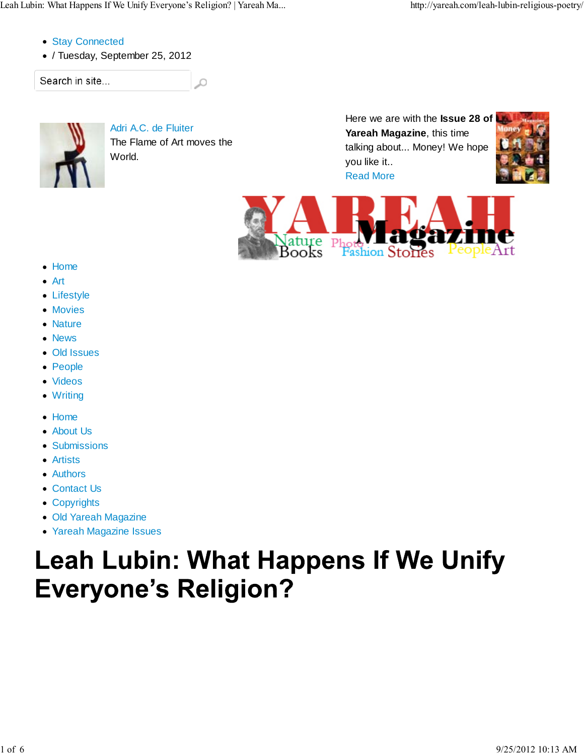Leah Lubin: What Happens If We Unify Everyone's Religion? | Yareah Ma... http://yareah.com/leah-lubin-religious-poetry/

- Stay Connected
- / Tuesday, September 25, 2012

Search in site...



Adri A.C. de Fluiter The Flame of Art moves the World.

Ω

Here we are with the **Issue 28 of Yareah Magazine**, this time talking about... Money! We hope you like it.. Read More





- Home
- Art
- Lifestyle
- Movies
- Nature
- News
- Old Issues
- People
- Videos
- Writing
- Home
- About Us
- **Submissions**
- Artists
- Authors
- Contact Us
- Copyrights
- Old Yareah Magazine
- Yareah Magazine Issues

# **Leah Lubin: What Happens If We Unify Everyone's Religion?**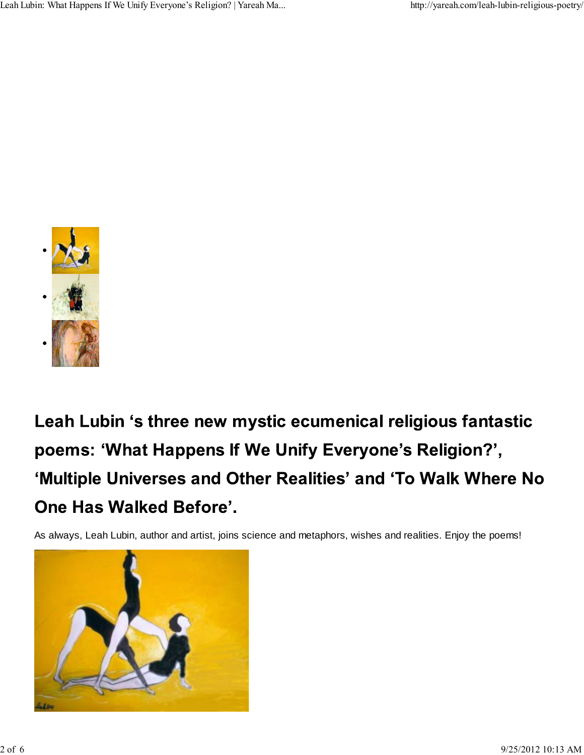

Leah Lubin 's three new mystic ecumenical religious fantastic poems: 'What Happens If We Unify Everyone's Religion?', 'Multiple Universes and Other Realities' and 'To Walk Where No One Has Walked Before'.

As always, Leah Lubin, author and artist, joins science and metaphors, wishes and realities. Enjoy the poems!

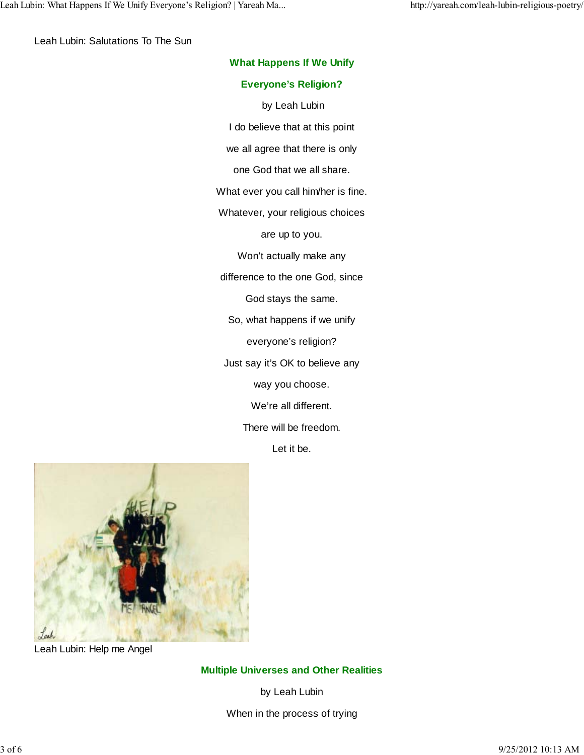Leah Lubin: Salutations To The Sun

| <b>What Happens If We Unify</b>     |
|-------------------------------------|
| <b>Everyone's Religion?</b>         |
| by Leah Lubin                       |
| I do believe that at this point     |
| we all agree that there is only     |
| one God that we all share.          |
| What ever you call him/her is fine. |
| Whatever, your religious choices    |
| are up to you.                      |
| Won't actually make any             |
| difference to the one God, since    |
| God stays the same.                 |
| So, what happens if we unify        |
| everyone's religion?                |
| Just say it's OK to believe any     |
| way you choose.                     |
| We're all different.                |
| There will be freedom.              |
| Let it be.                          |
|                                     |



Leah Lubin: Help me Angel

**Multiple Universes and Other Realities**

by Leah Lubin

When in the process of trying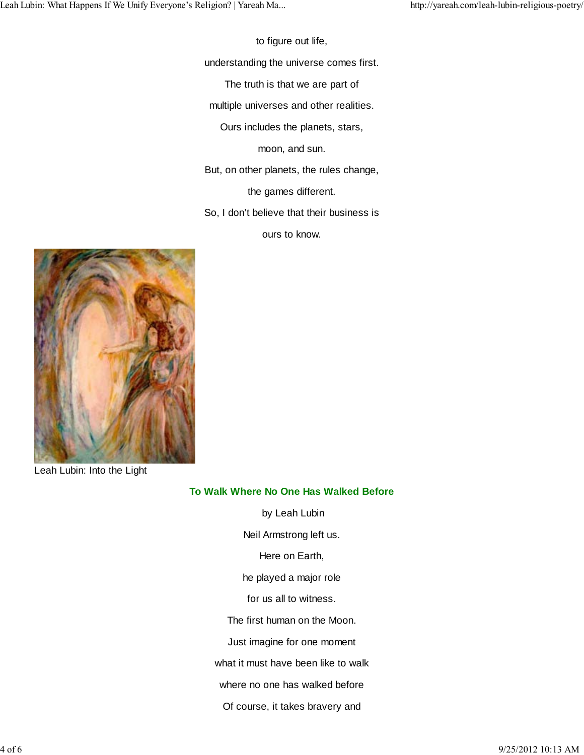to figure out life,

understanding the universe comes first.

The truth is that we are part of

multiple universes and other realities.

Ours includes the planets, stars,

moon, and sun.

But, on other planets, the rules change,

the games different.

So, I don't believe that their business is

ours to know.



Leah Lubin: Into the Light

#### **To Walk Where No One Has Walked Before**

 by Leah Lubin Neil Armstrong left us. Here on Earth, he played a major role for us all to witness. The first human on the Moon. Just imagine for one moment what it must have been like to walk where no one has walked before Of course, it takes bravery and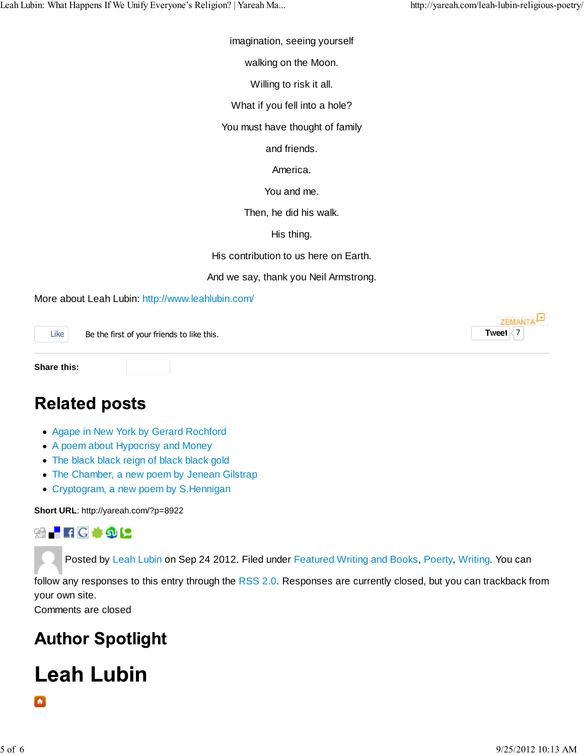**Tweet**  $\langle 7$ 

**ZEMANTA** 

imagination, seeing yourself

walking on the Moon.

Willing to risk it all.

What if you fell into a hole?

You must have thought of family

and friends.

America.

You and me.

Then, he did his walk.

His thing.

His contribution to us here on Earth.

And we say, thank you Neil Armstrong.

More about Leah Lubin: http://www.leahlubin.com/

Like Be the first of your friends to like this.

**Share this:**

#### **Related posts**

- Agape in New York by Gerard Rochford
- A poem about Hypocrisy and Money
- The black black reign of black black gold
- The Chamber, a new poem by Jenean Gilstrap
- Cryptogram, a new poem by S.Hennigan

**Short URL**: http://yareah.com/?p=8922

**SHFFIG \* 5 C** 

Posted by Leah Lubin on Sep 24 2012. Filed under Featured Writing and Books, Poerty, Writing. You can

follow any responses to this entry through the RSS 2.0. Responses are currently closed, but you can trackback from your own site.

Comments are closed

### **Author Spotlight**

## **Leah Lubin**

 $\bullet$